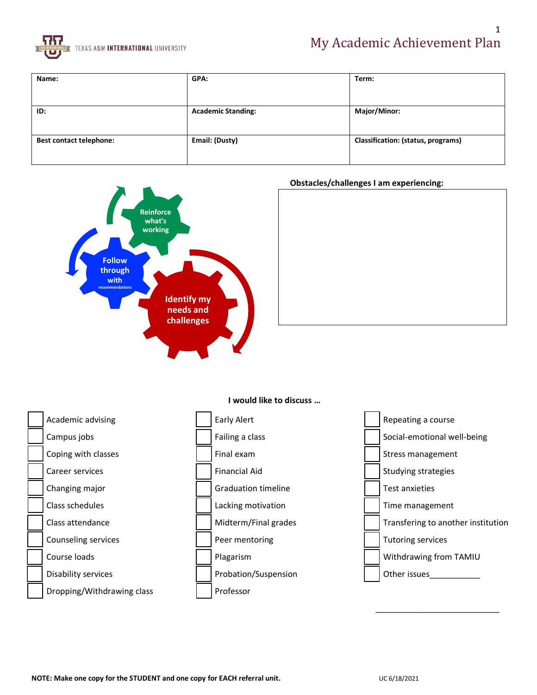

| Name:                          | GPA:                      | Term:                              |
|--------------------------------|---------------------------|------------------------------------|
|                                |                           |                                    |
|                                |                           |                                    |
|                                |                           |                                    |
| ID:                            | <b>Academic Standing:</b> | Major/Minor:                       |
|                                |                           |                                    |
|                                |                           |                                    |
|                                |                           |                                    |
| <b>Best contact telephone:</b> | Email: (Dusty)            | Classification: (status, programs) |
|                                |                           |                                    |
|                                |                           |                                    |



### **Obstacles/challenges I am experiencing:**